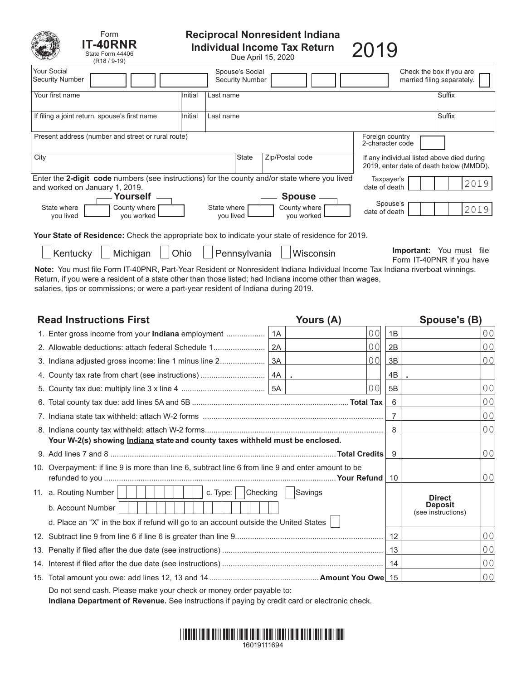| Form<br><b>T-40RNR</b><br>State Form 44406<br>$(R18/9-19)$                                                                                                                                                                                          | <b>Reciprocal Nonresident Indiana</b><br><b>Individual Income Tax Return</b><br>Due April 15, 2020 |                          |                                           |                                             |  |                                                                                       | 2019     |                                                        |  |  |
|-----------------------------------------------------------------------------------------------------------------------------------------------------------------------------------------------------------------------------------------------------|----------------------------------------------------------------------------------------------------|--------------------------|-------------------------------------------|---------------------------------------------|--|---------------------------------------------------------------------------------------|----------|--------------------------------------------------------|--|--|
| <b>Your Social</b><br><b>Security Number</b>                                                                                                                                                                                                        |                                                                                                    |                          | Spouse's Social<br><b>Security Number</b> |                                             |  |                                                                                       |          | Check the box if you are<br>married filing separately. |  |  |
| Your first name                                                                                                                                                                                                                                     | Initial                                                                                            | Last name                |                                           |                                             |  |                                                                                       |          | Suffix                                                 |  |  |
| If filing a joint return, spouse's first name                                                                                                                                                                                                       | Initial                                                                                            | Last name                |                                           |                                             |  |                                                                                       |          | Suffix                                                 |  |  |
| Present address (number and street or rural route)<br>Foreign country<br>2-character code                                                                                                                                                           |                                                                                                    |                          |                                           |                                             |  |                                                                                       |          |                                                        |  |  |
| City<br>Zip/Postal code<br><b>State</b>                                                                                                                                                                                                             |                                                                                                    |                          |                                           |                                             |  | If any individual listed above died during<br>2019, enter date of death below (MMDD). |          |                                                        |  |  |
| Enter the 2-digit code numbers (see instructions) for the county and/or state where you lived<br>Taxpayer's<br>2019<br>date of death<br>and worked on January 1, 2019.                                                                              |                                                                                                    |                          |                                           |                                             |  |                                                                                       |          |                                                        |  |  |
| Yourself<br>State where<br>County where<br>vou lived<br>you worked                                                                                                                                                                                  |                                                                                                    | State where<br>vou lived |                                           | <b>Spouse</b><br>County where<br>you worked |  | date of death                                                                         | Spouse's | 2019                                                   |  |  |
| Your State of Residence: Check the appropriate box to indicate your state of residence for 2019.                                                                                                                                                    |                                                                                                    |                          |                                           |                                             |  |                                                                                       |          |                                                        |  |  |
| Important: You must file<br>Michigan<br>Ohio<br>Pennsylvania<br>Kentucky<br>Wisconsin<br>Form IT-40PNR if you have<br>Note: You must file Form IT-40PNR, Part-Year Resident or Nonresident Indiana Individual Income Tax Indiana riverboat winnings |                                                                                                    |                          |                                           |                                             |  |                                                                                       |          |                                                        |  |  |

u must file Form IT-40PNR, Part-Year Resident or Nonresident Indiana Individual Income Tax Indiana riverboat winnings.<br>' Return, if you were a resident of a state other than those listed; had Indiana income other than wages, salaries, tips or commissions; or were a part-year resident of Indiana during 2019.

| <b>Read Instructions First</b>                                                                     |          | Yours (A)      | Spouse's (B)   |                                                       |                |
|----------------------------------------------------------------------------------------------------|----------|----------------|----------------|-------------------------------------------------------|----------------|
| 1. Enter gross income from your Indiana employment                                                 | 1A       | $ 00\rangle$   | 1B             |                                                       | 00             |
| 2. Allowable deductions: attach federal Schedule 1                                                 | 2A       | 0 <sup>0</sup> | 2B             |                                                       | 0 <sub>0</sub> |
| 3. Indiana adjusted gross income: line 1 minus line 2                                              | 3A       | 00             | 3B             |                                                       | 0 <sub>0</sub> |
|                                                                                                    |          |                | 4B             |                                                       |                |
|                                                                                                    |          | 00             | 5B             |                                                       | 0 <sub>0</sub> |
|                                                                                                    |          |                | 6              |                                                       | 0 <sub>0</sub> |
|                                                                                                    |          |                | $\overline{7}$ |                                                       | 0 <sub>0</sub> |
|                                                                                                    |          |                | 8              |                                                       | 0 <sub>0</sub> |
| Your W-2(s) showing Indiana state and county taxes withheld must be enclosed.                      |          |                |                |                                                       |                |
|                                                                                                    |          |                | 9              |                                                       | 0 <sub>0</sub> |
| 10. Overpayment: if line 9 is more than line 6, subtract line 6 from line 9 and enter amount to be |          |                | 10             |                                                       | 0 <sub>0</sub> |
| 11. a. Routing Number<br>c. Type:                                                                  | Checking | Savings        |                |                                                       |                |
| b. Account Number                                                                                  |          |                |                | <b>Direct</b><br><b>Deposit</b><br>(see instructions) |                |
| d. Place an "X" in the box if refund will go to an account outside the United States               |          |                |                |                                                       |                |
|                                                                                                    | 12       |                | 0 <sub>0</sub> |                                                       |                |
|                                                                                                    |          |                | 13             |                                                       | 0 <sub>0</sub> |
|                                                                                                    |          |                | 14             |                                                       | 0 <sub>0</sub> |
|                                                                                                    |          |                |                |                                                       | 0 <sub>0</sub> |
| Do not send cash. Please make your check or money order payable to:                                |          |                |                |                                                       |                |

**Indiana Department of Revenue.** See instructions if paying by credit card or electronic check.

# \*16019111694\* 16019111694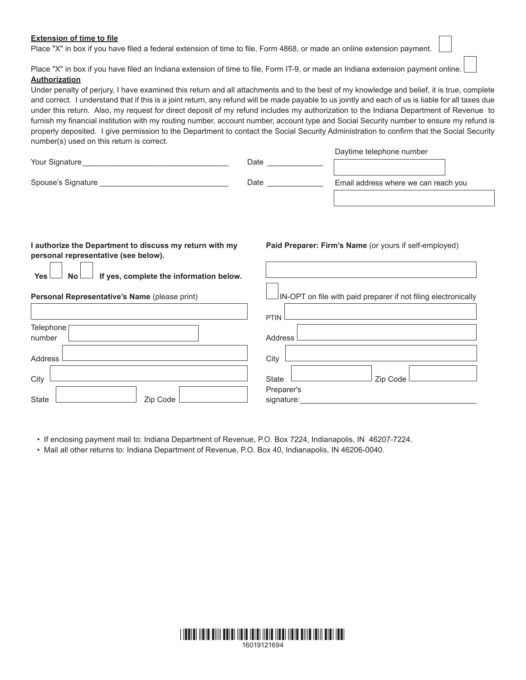# **Extension of time to file**

Place "X" in box if you have filed a federal extension of time to file, Form 4868, or made an online extension payment.

Place "X" in box if you have filed an Indiana extension of time to file, Form IT-9, or made an Indiana extension payment online. **Authorization**

Under penalty of perjury, I have examined this return and all attachments and to the best of my knowledge and belief, it is true, complete and correct. I understand that if this is a joint return, any refund will be made payable to us jointly and each of us is liable for all taxes due under this return. Also, my request for direct deposit of my refund includes my authorization to the Indiana Department of Revenue to furnish my financial institution with my routing number, account number, account type and Social Security number to ensure my refund is properly deposited. I give permission to the Department to contact the Social Security Administration to confirm that the Social Security number(s) used on this return is correct. Daytime telephone number

| Your Signature     | Date | Daytime telephone number             |  |  |
|--------------------|------|--------------------------------------|--|--|
| Spouse's Signature | Date | Email address where we can reach you |  |  |
|                    |      |                                      |  |  |

# **I authorize the Department to discuss my return with my personal representative (see below).**

**Yes No If yes, complete the information below.**

## **Personal Representative's Name** (please print)

|                   | PTIN <sup>L</sup> |
|-------------------|-------------------|
| Telephone         |                   |
| number            | Address L         |
|                   |                   |
| Address           | City              |
|                   |                   |
| City              | Zip Code<br>State |
|                   | Preparer's        |
| Zip Code<br>State | signature:        |

• If enclosing payment mail to: Indiana Department of Revenue, P.O. Box 7224, Indianapolis, IN 46207-7224.

• Mail all other returns to: Indiana Department of Revenue, P.O. Box 40, Indianapolis, IN 46206-0040.



## **Paid Preparer: Firm's Name** (or yours if self-employed)

IN-OPT on file with paid preparer if not filing electronically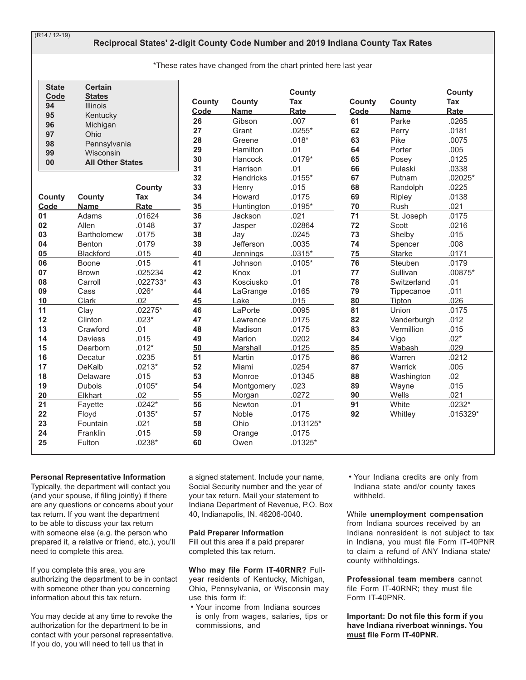$(R14/12-19)$ 

# **Reciprocal States' 2-digit County Code Number and 2019 Indiana County Tax Rates**

\*These rates have changed from the chart printed here last year

| <b>State</b><br>Code | <b>Certain</b><br><b>States</b> |              | <b>County</b> | <b>County</b>     | <b>County</b><br><b>Tax</b> | County | County        | County<br>Tax |
|----------------------|---------------------------------|--------------|---------------|-------------------|-----------------------------|--------|---------------|---------------|
| 94<br>95             | <b>Illinois</b><br>Kentucky     |              | Code          | Name              | Rate                        | Code   | <b>Name</b>   | Rate          |
| 96                   | Michigan                        |              | 26            | Gibson            | .007                        | 61     | Parke         | .0265         |
| 97                   | Ohio                            |              | 27            | Grant             | $.0255*$                    | 62     | Perry         | .0181         |
| 98                   | Pennsylvania                    |              | 28            | Greene            | $.018*$                     | 63     | Pike          | .0075         |
| 99                   | Wisconsin                       |              | 29            | Hamilton          | .01                         | 64     | Porter        | .005          |
| 00                   | <b>All Other States</b>         |              | 30            | <b>Hancock</b>    | $.0179*$                    | 65     | Posey         | .0125         |
|                      |                                 |              | 31            | Harrison          | .01                         | 66     | Pulaski       | .0338         |
|                      |                                 |              | 32            | <b>Hendricks</b>  | $.0155*$                    | 67     | Putnam        | $.02025*$     |
|                      |                                 | County       | 33            | Henry             | .015                        | 68     | Randolph      | .0225         |
| County               | <b>County</b>                   | Tax          | 34            | Howard            | .0175                       | 69     | Ripley        | .0138         |
| Code                 | <b>Name</b>                     | Rate         | 35            | <b>Huntington</b> | $.0195*$                    | 70     | Rush          | .021          |
| 01                   | Adams                           | .01624       | 36            | Jackson           | .021                        | 71     | St. Joseph    | .0175         |
| 02                   | Allen                           | .0148        | 37            | Jasper            | .02864                      | 72     | Scott         | .0216         |
| 03                   | <b>Bartholomew</b>              | .0175        | 38            | Jay               | .0245                       | 73     | Shelby        | .015          |
| 04                   | Benton                          | .0179        | 39            | Jefferson         | .0035                       | 74     | Spencer       | .008          |
| 05                   | Blackford                       | .015         | 40            | Jennings          | $.0315*$                    | 75     | <b>Starke</b> | .0171         |
| 06                   | Boone                           | .015         | 41            | Johnson           | $.0105*$                    | 76     | Steuben       | .0179         |
| 07                   | <b>Brown</b>                    | .025234      | 42            | Knox              | .01                         | 77     | Sullivan      | $.00875*$     |
| 08                   | Carroll                         | .022733*     | 43            | Kosciusko         | .01                         | 78     | Switzerland   | .01           |
| 09                   | Cass                            | $.026*$      | 44            | LaGrange          | .0165                       | 79     | Tippecanoe    | .011          |
| 10                   | Clark                           | .02          | 45            | Lake              | .015                        | 80     | Tipton        | .026          |
| 11                   | Clay                            | $.02275*$    | 46            | LaPorte           | .0095                       | 81     | Union         | .0175         |
| 12                   | Clinton                         | $.023*$      | 47            | Lawrence          | .0175                       | 82     | Vanderburgh   | .012          |
| 13                   | Crawford                        | .01          | 48            | Madison           | .0175                       | 83     | Vermillion    | .015          |
| 14                   | <b>Daviess</b>                  | .015         | 49            | Marion            | .0202                       | 84     | Vigo          | $.02*$        |
| 15                   | Dearborn                        | $.012*$      | 50            | Marshall          | .0125                       | 85     | Wabash        | .029          |
| 16                   | Decatur                         | .0235        | 51            | Martin            | .0175                       | 86     | Warren        | .0212         |
| 17                   | DeKalb                          | $.0213*$     | 52            | Miami             | .0254                       | 87     | Warrick       | .005          |
| 18                   | Delaware                        | .015         | 53            | Monroe            | .01345                      | 88     | Washington    | .02           |
| 19                   | <b>Dubois</b>                   | $.0105*$     | 54            | Montgomery        | .023                        | 89     | Wayne         | .015          |
| 20                   | Elkhart                         | .02          | 55            | Morgan            | .0272                       | 90     | Wells         | .021          |
| 21                   | Fayette                         | $.0242*$     | 56            | Newton            | .01                         | 91     | White         | $.0232*$      |
| 22                   | Floyd<br>Fountain               | $.0135*$     | 57            | Noble             | .0175                       | 92     | Whitley       | $.015329*$    |
| 23                   |                                 | .021<br>.015 | 58            | Ohio              | $.013125*$                  |        |               |               |
| 24<br>25             | Franklin                        |              | 59<br>60      | Orange            | .0175                       |        |               |               |
|                      | Fulton                          | $.0238*$     |               | Owen              | $.01325*$                   |        |               |               |

#### **Personal Representative Information**

Typically, the department will contact you (and your spouse, if filing jointly) if there are any questions or concerns about your tax return. If you want the department to be able to discuss your tax return with someone else (e.g. the person who prepared it, a relative or friend, etc.), you'll need to complete this area.

If you complete this area, you are authorizing the department to be in contact with someone other than you concerning information about this tax return.

You may decide at any time to revoke the authorization for the department to be in contact with your personal representative. If you do, you will need to tell us that in

a signed statement. Include your name, Social Security number and the year of your tax return. Mail your statement to Indiana Department of Revenue, P.O. Box 40, Indianapolis, IN. 46206-0040.

#### **Paid Preparer Information**

Fill out this area if a paid preparer completed this tax return.

## **Who may file Form IT-40RNR?** Full-

year residents of Kentucky, Michigan, Ohio, Pennsylvania, or Wisconsin may  $\overline{\mathsf{U}}$  and the form if  $\overline{\mathsf{V}}$ 

• Your income from Indiana sources is only from wages, salaries, tips or commissions, and

• Your Indiana credits are only from Indiana state and/or county taxes withheld.

While unemployment compensation from Indiana sources received by an Indiana nonresident is not subject to tax in Indiana, you must file Form IT-40PNR to claim a refund of ANY Indiana state/ county withholdings.

**Professional team members** cannot file Form IT-40RNR; they must file Form IT-40PNR.

**Important: Do not file this form if you have Indiana riverboat winnings. You**  must file Form IT-40PNR.